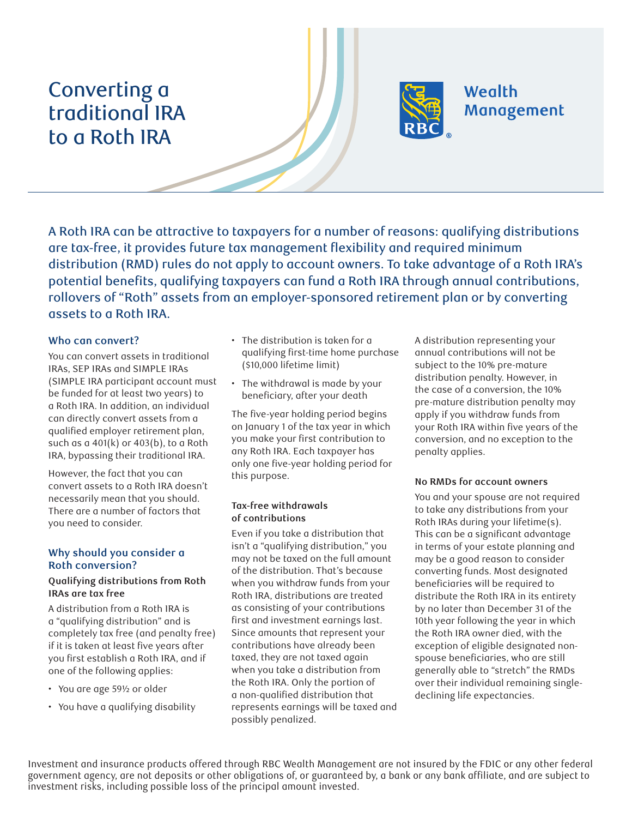# Converting a traditional IRA to a Roth IRA



A Roth IRA can be attractive to taxpayers for a number of reasons: qualifying distributions are tax-free, it provides future tax management flexibility and required minimum distribution (RMD) rules do not apply to account owners. To take advantage of a Roth IRA's potential benefits, qualifying taxpayers can fund a Roth IRA through annual contributions, rollovers of "Roth" assets from an employer-sponsored retirement plan or by converting assets to a Roth IRA.

# **Who can convert?**

You can convert assets in traditional IRAs, SEP IRAs and SIMPLE IRAs (SIMPLE IRA participant account must be funded for at least two years) to a Roth IRA. In addition, an individual can directly convert assets from a qualified employer retirement plan, such as a 401(k) or 403(b), to a Roth IRA, bypassing their traditional IRA.

However, the fact that you can convert assets to a Roth IRA doesn't necessarily mean that you should. There are a number of factors that you need to consider.

# **Why should you consider a Roth conversion?**

### **Qualifying distributions from Roth IRAs are tax free**

A distribution from a Roth IRA is a "qualifying distribution" and is completely tax free (and penalty free) if it is taken at least five years after you first establish a Roth IRA, and if one of the following applies:

- You are age 59½ or older
- You have a qualifying disability
- The distribution is taken for a qualifying first-time home purchase (\$10,000 lifetime limit)
- The withdrawal is made by your beneficiary, after your death

The five-year holding period begins on January 1 of the tax year in which you make your first contribution to any Roth IRA. Each taxpayer has only one five-year holding period for this purpose.

#### **Tax-free withdrawals of contributions**

Even if you take a distribution that isn't a "qualifying distribution," you may not be taxed on the full amount of the distribution. That's because when you withdraw funds from your Roth IRA, distributions are treated as consisting of your contributions first and investment earnings last. Since amounts that represent your contributions have already been taxed, they are not taxed again when you take a distribution from the Roth IRA. Only the portion of a non-qualified distribution that represents earnings will be taxed and possibly penalized.

A distribution representing your annual contributions will not be subject to the 10% pre-mature distribution penalty. However, in the case of a conversion, the 10% pre-mature distribution penalty may apply if you withdraw funds from your Roth IRA within five years of the conversion, and no exception to the penalty applies.

#### **No RMDs for account owners**

You and your spouse are not required to take any distributions from your Roth IRAs during your lifetime(s). This can be a significant advantage in terms of your estate planning and may be a good reason to consider converting funds. Most designated beneficiaries will be required to distribute the Roth IRA in its entirety by no later than December 31 of the 10th year following the year in which the Roth IRA owner died, with the exception of eligible designated nonspouse beneficiaries, who are still generally able to "stretch" the RMDs over their individual remaining singledeclining life expectancies.

Investment and insurance products offered through RBC Wealth Management are not insured by the FDIC or any other federal government agency, are not deposits or other obligations of, or guaranteed by, a bank or any bank affiliate, and are subject to investment risks, including possible loss of the principal amount invested.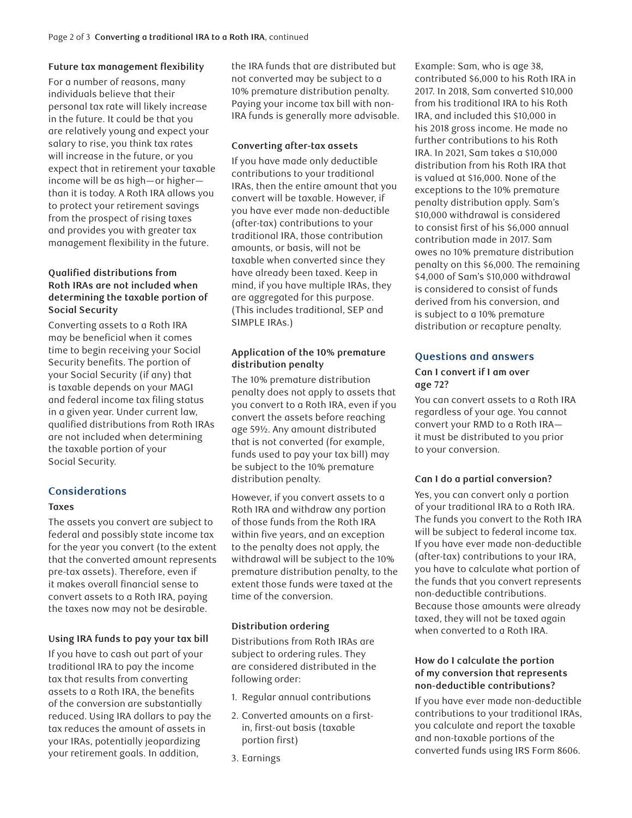# **Future tax management flexibility**

For a number of reasons, many individuals believe that their personal tax rate will likely increase in the future. It could be that you are relatively young and expect your salary to rise, you think tax rates will increase in the future, or you expect that in retirement your taxable income will be as high—or higher than it is today. A Roth IRA allows you to protect your retirement savings from the prospect of rising taxes and provides you with greater tax management flexibility in the future.

# **Qualified distributions from Roth IRAs are not included when determining the taxable portion of Social Security**

Converting assets to a Roth IRA may be beneficial when it comes time to begin receiving your Social Security benefits. The portion of your Social Security (if any) that is taxable depends on your MAGI and federal income tax filing status in a given year. Under current law, qualified distributions from Roth IRAs are not included when determining the taxable portion of your Social Security.

# **Considerations**

#### **Taxes**

The assets you convert are subject to federal and possibly state income tax for the year you convert (to the extent that the converted amount represents pre-tax assets). Therefore, even if it makes overall financial sense to convert assets to a Roth IRA, paying the taxes now may not be desirable.

#### **Using IRA funds to pay your tax bill**

If you have to cash out part of your traditional IRA to pay the income tax that results from converting assets to a Roth IRA, the benefits of the conversion are substantially reduced. Using IRA dollars to pay the tax reduces the amount of assets in your IRAs, potentially jeopardizing your retirement goals. In addition,

the IRA funds that are distributed but not converted may be subject to a 10% premature distribution penalty. Paying your income tax bill with non-IRA funds is generally more advisable.

### **Converting after-tax assets**

If you have made only deductible contributions to your traditional IRAs, then the entire amount that you convert will be taxable. However, if you have ever made non-deductible (after-tax) contributions to your traditional IRA, those contribution amounts, or basis, will not be taxable when converted since they have already been taxed. Keep in mind, if you have multiple IRAs, they are aggregated for this purpose. (This includes traditional, SEP and SIMPLE IRAs.)

# **Application of the 10% premature distribution penalty**

The 10% premature distribution penalty does not apply to assets that you convert to a Roth IRA, even if you convert the assets before reaching age 59½. Any amount distributed that is not converted (for example, funds used to pay your tax bill) may be subject to the 10% premature distribution penalty.

However, if you convert assets to a Roth IRA and withdraw any portion of those funds from the Roth IRA within five years, and an exception to the penalty does not apply, the withdrawal will be subject to the 10% premature distribution penalty, to the extent those funds were taxed at the time of the conversion.

# **Distribution ordering**

Distributions from Roth IRAs are subject to ordering rules. They are considered distributed in the following order:

- 1. Regular annual contributions
- 2. Converted amounts on a firstin, first-out basis (taxable portion first)
- 3. Earnings

Example: Sam, who is age 38, contributed \$6,000 to his Roth IRA in 2017. In 2018, Sam converted \$10,000 from his traditional IRA to his Roth IRA, and included this \$10,000 in his 2018 gross income. He made no further contributions to his Roth IRA. In 2021, Sam takes a \$10,000 distribution from his Roth IRA that is valued at \$16,000. None of the exceptions to the 10% premature penalty distribution apply. Sam's \$10,000 withdrawal is considered to consist first of his \$6,000 annual contribution made in 2017. Sam owes no 10% premature distribution penalty on this \$6,000. The remaining \$4,000 of Sam's \$10,000 withdrawal is considered to consist of funds derived from his conversion, and is subject to a 10% premature distribution or recapture penalty.

# **Questions and answers**

#### **Can I convert if I am over age 72?**

You can convert assets to a Roth IRA regardless of your age. You cannot convert your RMD to a Roth IRA it must be distributed to you prior to your conversion.

#### **Can I do a partial conversion?**

Yes, you can convert only a portion of your traditional IRA to a Roth IRA. The funds you convert to the Roth IRA will be subject to federal income tax. If you have ever made non-deductible (after-tax) contributions to your IRA, you have to calculate what portion of the funds that you convert represents non-deductible contributions. Because those amounts were already taxed, they will not be taxed again when converted to a Roth IRA.

#### **How do I calculate the portion of my conversion that represents non-deductible contributions?**

If you have ever made non-deductible contributions to your traditional IRAs, you calculate and report the taxable and non-taxable portions of the converted funds using IRS Form 8606.